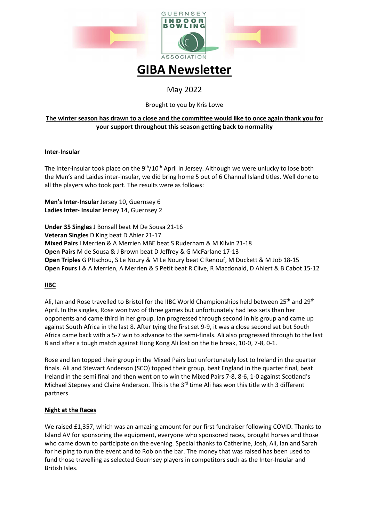

# GIBA Newsletter

# May 2022

# Brought to you by Kris Lowe

# The winter season has drawn to a close and the committee would like to once again thank you for your support throughout this season getting back to normality

### Inter-Insular

The inter-insular took place on the  $9<sup>th</sup>/10<sup>th</sup>$  April in Jersey. Although we were unlucky to lose both the Men's and Laides inter-insular, we did bring home 5 out of 6 Channel Island titles. Well done to all the players who took part. The results were as follows:

Men's Inter-Insular Jersey 10, Guernsey 6 Ladies Inter- Insular Jersey 14, Guernsey 2

Under 35 Singles J Bonsall beat M De Sousa 21-16 Veteran Singles D King beat D Ahier 21-17 Mixed Pairs I Merrien & A Merrien MBE beat S Ruderham & M Kilvin 21-18 Open Pairs M de Sousa & J Brown beat D Jeffrey & G McFarlane 17-13 Open Triples G PItschou, S Le Noury & M Le Noury beat C Renouf, M Duckett & M Job 18-15 Open Fours I & A Merrien, A Merrien & S Petit beat R Clive, R Macdonald, D Ahiert & B Cabot 15-12

# IIBC

Ali, Ian and Rose travelled to Bristol for the IIBC World Championships held between 25<sup>th</sup> and 29<sup>th</sup> April. In the singles, Rose won two of three games but unfortunately had less sets than her opponents and came third in her group. Ian progressed through second in his group and came up against South Africa in the last 8. After tying the first set 9-9, it was a close second set but South Africa came back with a 5-7 win to advance to the semi-finals. Ali also progressed through to the last 8 and after a tough match against Hong Kong Ali lost on the tie break, 10-0, 7-8, 0-1.

Rose and Ian topped their group in the Mixed Pairs but unfortunately lost to Ireland in the quarter finals. Ali and Stewart Anderson (SCO) topped their group, beat England in the quarter final, beat Ireland in the semi final and then went on to win the Mixed Pairs 7-8, 8-6, 1-0 against Scotland's Michael Stepney and Claire Anderson. This is the 3<sup>rd</sup> time Ali has won this title with 3 different partners.

# Night at the Races

We raised £1,357, which was an amazing amount for our first fundraiser following COVID. Thanks to Island AV for sponsoring the equipment, everyone who sponsored races, brought horses and those who came down to participate on the evening. Special thanks to Catherine, Josh, Ali, Ian and Sarah for helping to run the event and to Rob on the bar. The money that was raised has been used to fund those travelling as selected Guernsey players in competitors such as the Inter-Insular and British Isles.